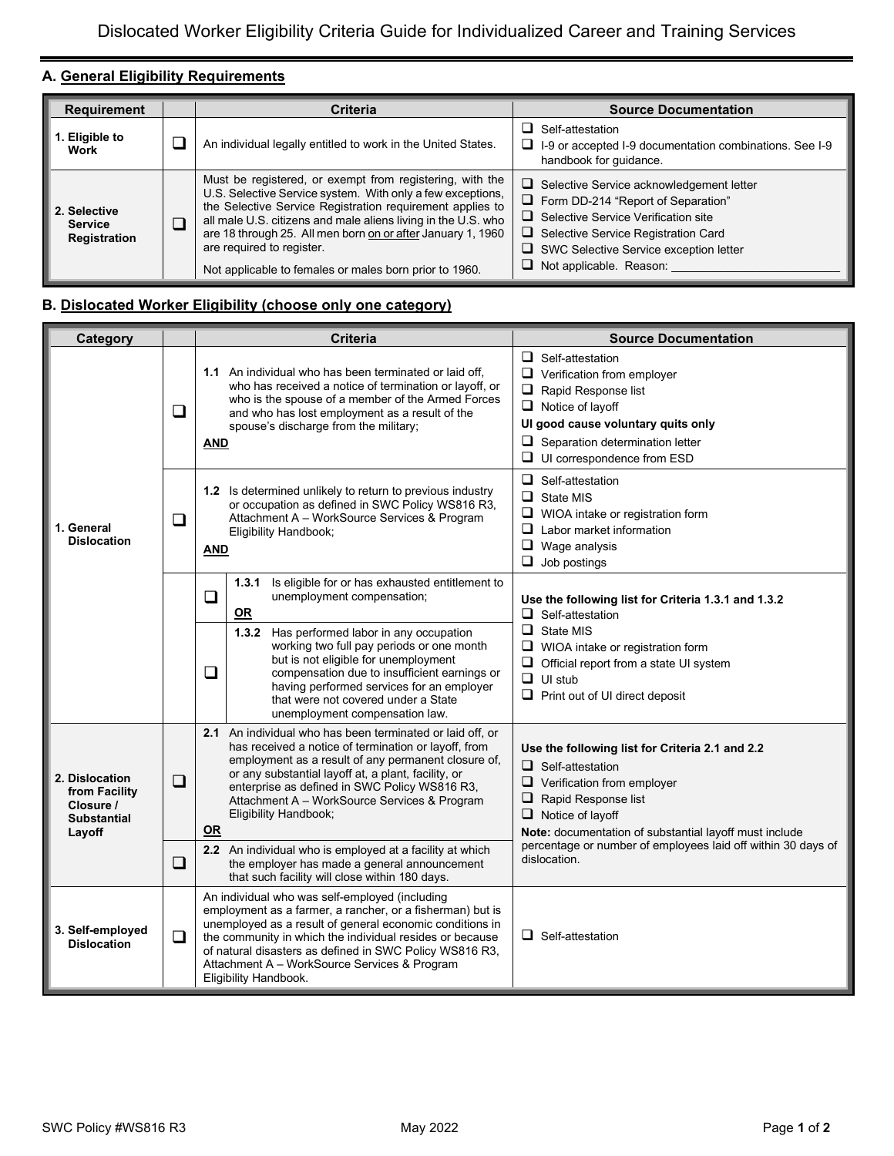## **A. General Eligibility Requirements**

| <b>Requirement</b>                             | <b>Criteria</b>                                                                                                                                                                                                                                                                                                                                                                                            | <b>Source Documentation</b>                                                                                                                                                                                                                                                 |
|------------------------------------------------|------------------------------------------------------------------------------------------------------------------------------------------------------------------------------------------------------------------------------------------------------------------------------------------------------------------------------------------------------------------------------------------------------------|-----------------------------------------------------------------------------------------------------------------------------------------------------------------------------------------------------------------------------------------------------------------------------|
| . Eligible to<br>Work                          | An individual legally entitled to work in the United States.                                                                                                                                                                                                                                                                                                                                               | Self-attestation<br>$\Box$ I-9 or accepted I-9 documentation combinations. See I-9<br>handbook for quidance.                                                                                                                                                                |
| 2. Selective<br><b>Service</b><br>Registration | Must be registered, or exempt from registering, with the<br>U.S. Selective Service system. With only a few exceptions,<br>the Selective Service Registration requirement applies to<br>all male U.S. citizens and male aliens living in the U.S. who<br>are 18 through 25. All men born on or after January 1, 1960<br>are required to register.<br>Not applicable to females or males born prior to 1960. | $\Box$ Selective Service acknowledgement letter<br>$\Box$ Form DD-214 "Report of Separation"<br>$\Box$ Selective Service Verification site<br>$\Box$ Selective Service Registration Card<br>$\Box$ SWC Selective Service exception letter<br>$\Box$ Not applicable. Reason: |

## **B. Dislocated Worker Eligibility (choose only one category)**

| Category                                                                     |        | <b>Criteria</b>                                                                                                                                                                                                                                                                                                                                                         | <b>Source Documentation</b>                                                                                                                                                                                                                |  |
|------------------------------------------------------------------------------|--------|-------------------------------------------------------------------------------------------------------------------------------------------------------------------------------------------------------------------------------------------------------------------------------------------------------------------------------------------------------------------------|--------------------------------------------------------------------------------------------------------------------------------------------------------------------------------------------------------------------------------------------|--|
| 1. General<br><b>Dislocation</b>                                             | $\Box$ | <b>1.1</b> An individual who has been terminated or laid off.<br>who has received a notice of termination or layoff, or<br>who is the spouse of a member of the Armed Forces<br>and who has lost employment as a result of the<br>spouse's discharge from the military;<br><b>AND</b>                                                                                   | $\Box$ Self-attestation<br>$\Box$ Verification from employer<br>$\Box$ Rapid Response list<br>$\Box$ Notice of layoff<br>Ul good cause voluntary quits only<br>$\Box$ Separation determination letter<br>$\Box$ UI correspondence from ESD |  |
|                                                                              | ❏      | 1.2 Is determined unlikely to return to previous industry<br>or occupation as defined in SWC Policy WS816 R3,<br>Attachment A - WorkSource Services & Program<br>Eligibility Handbook;<br><b>AND</b>                                                                                                                                                                    | $\Box$ Self-attestation<br>$\Box$ State MIS<br>$\Box$ WIOA intake or registration form<br>$\Box$ Labor market information<br>$\Box$ Wage analysis<br>$\Box$ Job postings                                                                   |  |
|                                                                              |        | Is eligible for or has exhausted entitlement to<br>1.3.1<br>unemployment compensation;<br>❏<br>$OR$                                                                                                                                                                                                                                                                     | Use the following list for Criteria 1.3.1 and 1.3.2<br>$\Box$ Self-attestation                                                                                                                                                             |  |
|                                                                              |        | 1.3.2 Has performed labor in any occupation<br>working two full pay periods or one month<br>but is not eligible for unemployment<br>❏<br>compensation due to insufficient earnings or<br>having performed services for an employer<br>that were not covered under a State<br>unemployment compensation law.                                                             | $\Box$ State MIS<br>$\Box$ WIOA intake or registration form<br>$\Box$ Official report from a state UI system<br>$\Box$ UI stub<br>$\Box$ Print out of UI direct deposit                                                                    |  |
| 2. Dislocation<br>from Facility<br>Closure /<br><b>Substantial</b><br>Layoff | $\Box$ | <b>2.1</b> An individual who has been terminated or laid off, or<br>has received a notice of termination or lavoff, from<br>employment as a result of any permanent closure of,<br>or any substantial layoff at, a plant, facility, or<br>enterprise as defined in SWC Policy WS816 R3,<br>Attachment A - WorkSource Services & Program<br>Eligibility Handbook;<br>OR  | Use the following list for Criteria 2.1 and 2.2<br>$\Box$ Self-attestation<br>$\Box$ Verification from employer<br>$\Box$ Rapid Response list<br>$\Box$ Notice of layoff<br>Note: documentation of substantial layoff must include         |  |
|                                                                              | ❏      | 2.2 An individual who is employed at a facility at which<br>the employer has made a general announcement<br>that such facility will close within 180 days.                                                                                                                                                                                                              | percentage or number of employees laid off within 30 days of<br>dislocation.                                                                                                                                                               |  |
| 3. Self-employed<br><b>Dislocation</b>                                       | ❏      | An individual who was self-employed (including<br>employment as a farmer, a rancher, or a fisherman) but is<br>unemployed as a result of general economic conditions in<br>the community in which the individual resides or because<br>of natural disasters as defined in SWC Policy WS816 R3.<br>Attachment A - WorkSource Services & Program<br>Eligibility Handbook. | $\Box$ Self-attestation                                                                                                                                                                                                                    |  |